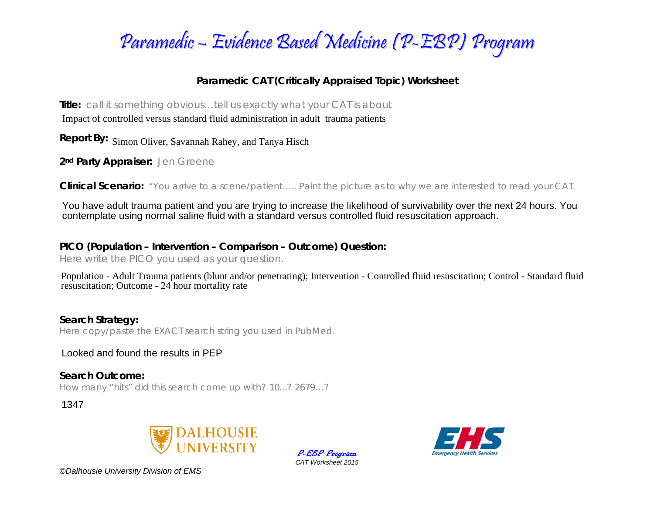

## **Paramedic CAT (Critically Appraised Topic) Worksheet**

**Title:** *call it something obvious…tell us exactly what your CAT is about* 

Impact of controlled versus standard fluid administration in adult trauma patients<br>Report By: Simon Oliver, Savannah Rahey, and Tanya Hisch

**2nd Party Appraiser:** *Jen Greene* 

**Clinical Scenario:** *"You arrive to a scene/patient….. Paint the picture as to why we are interested to read your CAT.*

You have adult trauma patient and you are trying to increase the likelihood of survivability over the next 24 hours. You contemplate using normal saline fluid with a standard versus controlled fluid resuscitation approach.

## **PICO (Population – Intervention – Comparison – Outcome) Question:**

*Here write the PICO you used as your question.* 

Population - Adult Trauma patients (blunt and/or penetrating); Intervention - Controlled fluid resuscitation; Control - Standard fluid resuscitation; Outcome - 24 hour mortality rate

**Search Strategy:**  *Here copy/paste the EXACT search string you used in PubMed.* 

Looked and found the results in PEP

**Search Outcome:** *How many "hits" did this search come up with? 10...? 2679…?* 

1347



P-EBP Program *CAT Worksheet 2015* 



*©Dalhousie University Division of EMS*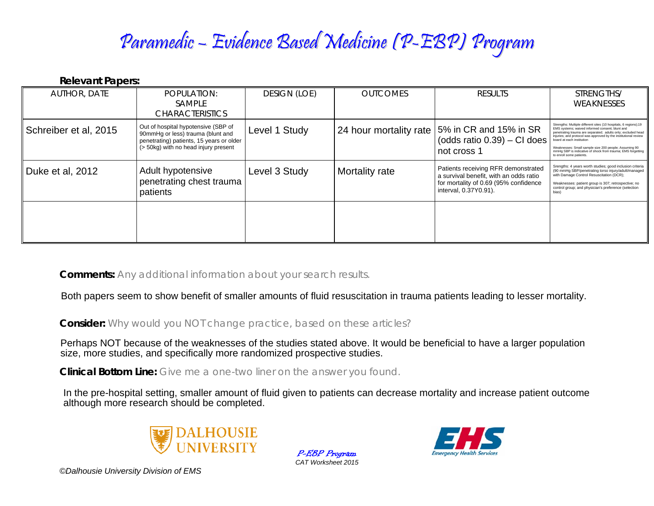## Paramedic – Evidence Based Medicine (P-EBP) Program

**Relevant Papers:** 

| <b>AUTHOR, DATE</b>   | POPULATION:<br><b>SAMPLE</b><br><b>CHARACTERISTICS</b>                                                                                                       | <b>DESIGN (LOE)</b> | <b>OUTCOMES</b>        | <b>RESULTS</b>                                                                                                                                  | STRENGTHS/<br>WEAKNESSES                                                                                                                                                                                                                                                                                                                                                                                                                |
|-----------------------|--------------------------------------------------------------------------------------------------------------------------------------------------------------|---------------------|------------------------|-------------------------------------------------------------------------------------------------------------------------------------------------|-----------------------------------------------------------------------------------------------------------------------------------------------------------------------------------------------------------------------------------------------------------------------------------------------------------------------------------------------------------------------------------------------------------------------------------------|
| Schreiber et al, 2015 | Out of hospital hypotensive (SBP of<br>90mmHg or less) trauma (blunt and<br>penetrating) patients, 15 years or older<br>(> 50kg) with no head injury present | Level 1 Study       | 24 hour mortality rate | 5% in CR and 15% in SR<br>(odds ratio $0.39$ ) – CI does<br>not cross 1                                                                         | Strengths: Multiple different sites (10 hospitals, 6 regions);19<br>EMS systems: waived informed consent: blunt and<br>penetrating trauma are separated; adults only; excluded head<br>injuries; and protocol was approved by the institutional review<br>board at each institution<br>Weaknesses: Small sample size 200 people; Assuming 90<br>mmHg SBP is indicative of shock from trauma; EMS forgetting<br>to enroll some patients. |
| Duke et al, 2012      | Adult hypotensive<br>penetrating chest trauma<br>patients                                                                                                    | Level 3 Study       | Mortality rate         | Patients receiving RFR demonstrated<br>a survival benefit, with an odds ratio<br>for mortality of 0.69 (95% confidence<br>interval, 0.37Y0.91). | Srengths: 4 years worth studies; good inclusion criteria<br>(90 mmHg SBP/penetrating torso injury/adult/managed<br>with Damage Control Resuscitation (DCR);<br>Weaknesses: patient group is 307; retrospective; no<br>control group; and physician's preference (selection<br>bias)                                                                                                                                                     |
|                       |                                                                                                                                                              |                     |                        |                                                                                                                                                 |                                                                                                                                                                                                                                                                                                                                                                                                                                         |

**Comments:** *Any additional information about your search results.*

Both papers seem to show benefit of smaller amounts of fluid resuscitation in trauma patients leading to lesser mortality.

**Consider:** *Why would you NOT change practice, based on these articles?*

Perhaps NOT because of the weaknesses of the studies stated above. It would be beneficial to have a larger population size, more studies, and specifically more randomized prospective studies.

**Clinical Bottom Line:** *Give me a one-two liner on the answer you found.*

In the pre-hospital setting, smaller amount of fluid given to patients can decrease mortality and increase patient outcome although more research should be completed.



P-EBP Program *CAT Worksheet 2015* 



*©Dalhousie University Division of EMS*